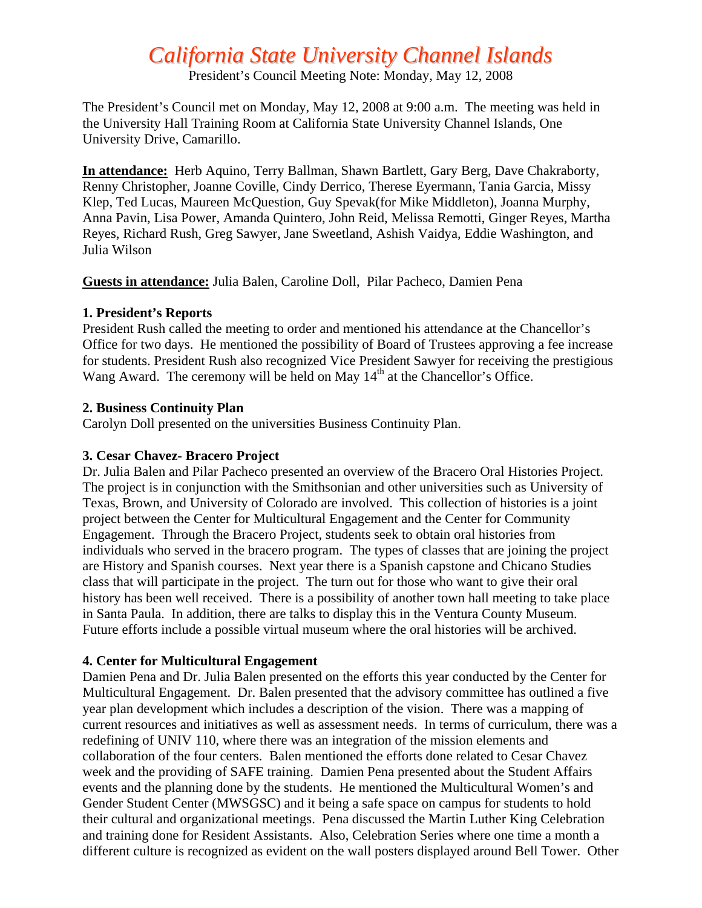# *California State University Channel Islands*

President's Council Meeting Note: Monday, May 12, 2008

The President's Council met on Monday, May 12, 2008 at 9:00 a.m. The meeting was held in the University Hall Training Room at California State University Channel Islands, One University Drive, Camarillo.

**In attendance:** Herb Aquino, Terry Ballman, Shawn Bartlett, Gary Berg, Dave Chakraborty, Renny Christopher, Joanne Coville, Cindy Derrico, Therese Eyermann, Tania Garcia, Missy Klep, Ted Lucas, Maureen McQuestion, Guy Spevak(for Mike Middleton), Joanna Murphy, Anna Pavin, Lisa Power, Amanda Quintero, John Reid, Melissa Remotti, Ginger Reyes, Martha Reyes, Richard Rush, Greg Sawyer, Jane Sweetland, Ashish Vaidya, Eddie Washington, and Julia Wilson

**Guests in attendance:** Julia Balen, Caroline Doll, Pilar Pacheco, Damien Pena

### **1. President's Reports**

President Rush called the meeting to order and mentioned his attendance at the Chancellor's Office for two days. He mentioned the possibility of Board of Trustees approving a fee increase for students. President Rush also recognized Vice President Sawyer for receiving the prestigious Wang Award. The ceremony will be held on May 14<sup>th</sup> at the Chancellor's Office.

### **2. Business Continuity Plan**

Carolyn Doll presented on the universities Business Continuity Plan.

## **3. Cesar Chavez- Bracero Project**

Dr. Julia Balen and Pilar Pacheco presented an overview of the Bracero Oral Histories Project. The project is in conjunction with the Smithsonian and other universities such as University of Texas, Brown, and University of Colorado are involved. This collection of histories is a joint project between the Center for Multicultural Engagement and the Center for Community Engagement. Through the Bracero Project, students seek to obtain oral histories from individuals who served in the bracero program. The types of classes that are joining the project are History and Spanish courses. Next year there is a Spanish capstone and Chicano Studies class that will participate in the project. The turn out for those who want to give their oral history has been well received. There is a possibility of another town hall meeting to take place in Santa Paula. In addition, there are talks to display this in the Ventura County Museum. Future efforts include a possible virtual museum where the oral histories will be archived.

# **4. Center for Multicultural Engagement**

Damien Pena and Dr. Julia Balen presented on the efforts this year conducted by the Center for Multicultural Engagement. Dr. Balen presented that the advisory committee has outlined a five year plan development which includes a description of the vision. There was a mapping of current resources and initiatives as well as assessment needs. In terms of curriculum, there was a redefining of UNIV 110, where there was an integration of the mission elements and collaboration of the four centers. Balen mentioned the efforts done related to Cesar Chavez week and the providing of SAFE training. Damien Pena presented about the Student Affairs events and the planning done by the students. He mentioned the Multicultural Women's and Gender Student Center (MWSGSC) and it being a safe space on campus for students to hold their cultural and organizational meetings. Pena discussed the Martin Luther King Celebration and training done for Resident Assistants. Also, Celebration Series where one time a month a different culture is recognized as evident on the wall posters displayed around Bell Tower. Other